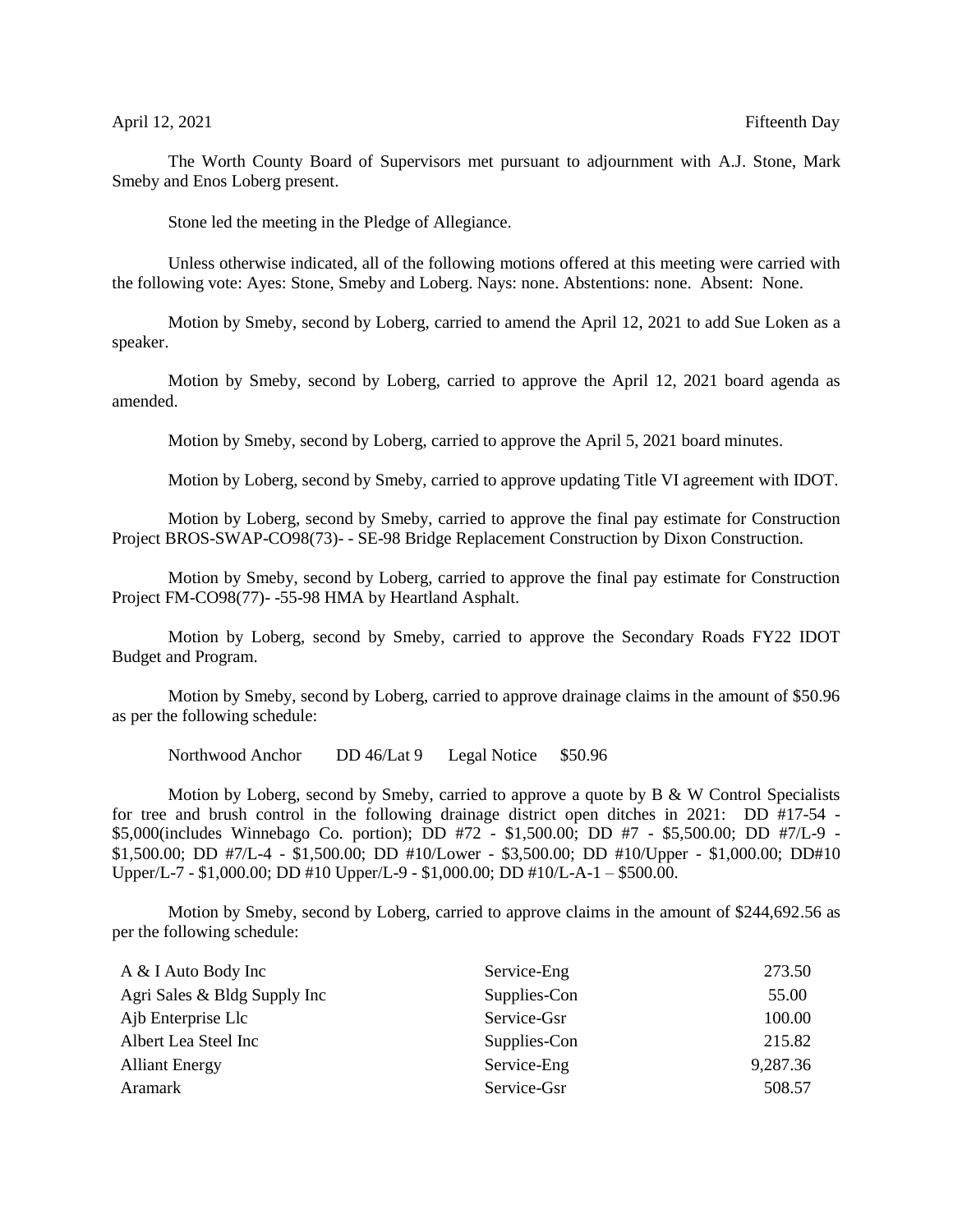## April 12, 2021 Fifteenth Day

The Worth County Board of Supervisors met pursuant to adjournment with A.J. Stone, Mark Smeby and Enos Loberg present.

Stone led the meeting in the Pledge of Allegiance.

Unless otherwise indicated, all of the following motions offered at this meeting were carried with the following vote: Ayes: Stone, Smeby and Loberg. Nays: none. Abstentions: none. Absent: None.

Motion by Smeby, second by Loberg, carried to amend the April 12, 2021 to add Sue Loken as a speaker.

Motion by Smeby, second by Loberg, carried to approve the April 12, 2021 board agenda as amended.

Motion by Smeby, second by Loberg, carried to approve the April 5, 2021 board minutes.

Motion by Loberg, second by Smeby, carried to approve updating Title VI agreement with IDOT.

Motion by Loberg, second by Smeby, carried to approve the final pay estimate for Construction Project BROS-SWAP-CO98(73)- - SE-98 Bridge Replacement Construction by Dixon Construction.

Motion by Smeby, second by Loberg, carried to approve the final pay estimate for Construction Project FM-CO98(77)- -55-98 HMA by Heartland Asphalt.

Motion by Loberg, second by Smeby, carried to approve the Secondary Roads FY22 IDOT Budget and Program.

Motion by Smeby, second by Loberg, carried to approve drainage claims in the amount of \$50.96 as per the following schedule:

Northwood Anchor DD 46/Lat 9 Legal Notice \$50.96

Motion by Loberg, second by Smeby, carried to approve a quote by B & W Control Specialists for tree and brush control in the following drainage district open ditches in 2021: DD #17-54 - \$5,000(includes Winnebago Co. portion); DD #72 - \$1,500.00; DD #7 - \$5,500.00; DD #7/L-9 - \$1,500.00; DD #7/L-4 - \$1,500.00; DD #10/Lower - \$3,500.00; DD #10/Upper - \$1,000.00; DD#10 Upper/L-7 - \$1,000.00; DD #10 Upper/L-9 - \$1,000.00; DD #10/L-A-1 – \$500.00.

Motion by Smeby, second by Loberg, carried to approve claims in the amount of \$244,692.56 as per the following schedule:

| A & I Auto Body Inc          | Service-Eng  | 273.50   |
|------------------------------|--------------|----------|
| Agri Sales & Bldg Supply Inc | Supplies-Con | 55.00    |
| Ajb Enterprise Llc           | Service-Gsr  | 100.00   |
| Albert Lea Steel Inc         | Supplies-Con | 215.82   |
| <b>Alliant Energy</b>        | Service-Eng  | 9,287.36 |
| Aramark                      | Service-Gsr  | 508.57   |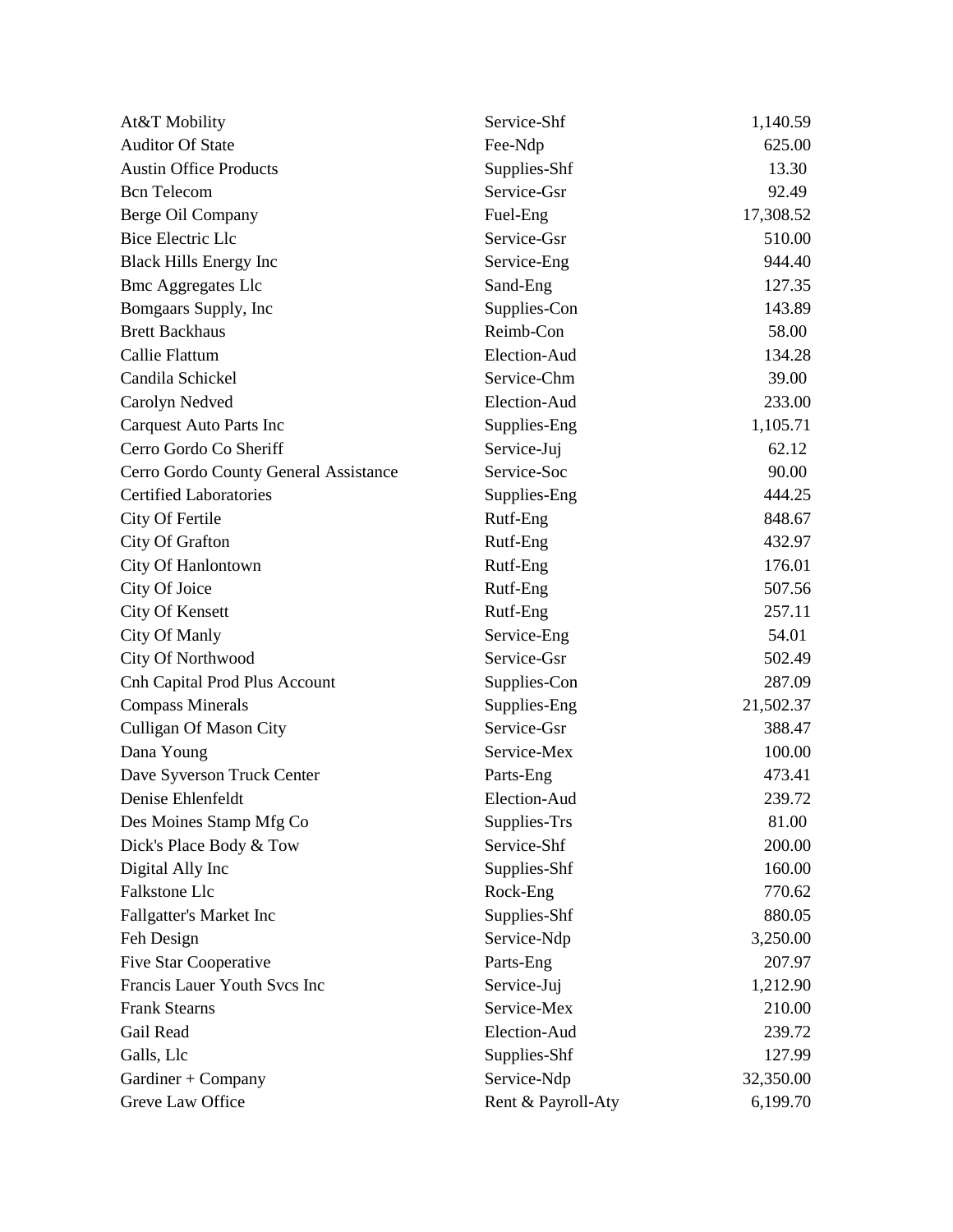| At&T Mobility                         | Service-Shf        | 1,140.59  |
|---------------------------------------|--------------------|-----------|
| <b>Auditor Of State</b>               | Fee-Ndp            | 625.00    |
| <b>Austin Office Products</b>         | Supplies-Shf       | 13.30     |
| <b>Bcn</b> Telecom                    | Service-Gsr        | 92.49     |
| Berge Oil Company                     | Fuel-Eng           | 17,308.52 |
| <b>Bice Electric Llc</b>              | Service-Gsr        | 510.00    |
| <b>Black Hills Energy Inc</b>         | Service-Eng        | 944.40    |
| <b>Bmc Aggregates Llc</b>             | Sand-Eng           | 127.35    |
| Bomgaars Supply, Inc                  | Supplies-Con       | 143.89    |
| <b>Brett Backhaus</b>                 | Reimb-Con          | 58.00     |
| Callie Flattum                        | Election-Aud       | 134.28    |
| Candila Schickel                      | Service-Chm        | 39.00     |
| Carolyn Nedved                        | Election-Aud       | 233.00    |
| <b>Carquest Auto Parts Inc</b>        | Supplies-Eng       | 1,105.71  |
| Cerro Gordo Co Sheriff                | Service-Juj        | 62.12     |
| Cerro Gordo County General Assistance | Service-Soc        | 90.00     |
| <b>Certified Laboratories</b>         | Supplies-Eng       | 444.25    |
| City Of Fertile                       | Rutf-Eng           | 848.67    |
| City Of Grafton                       | Rutf-Eng           | 432.97    |
| City Of Hanlontown                    | Rutf-Eng           | 176.01    |
| City Of Joice                         | Rutf-Eng           | 507.56    |
| City Of Kensett                       | Rutf-Eng           | 257.11    |
| City Of Manly                         | Service-Eng        | 54.01     |
| City Of Northwood                     | Service-Gsr        | 502.49    |
| <b>Cnh Capital Prod Plus Account</b>  | Supplies-Con       | 287.09    |
| <b>Compass Minerals</b>               | Supplies-Eng       | 21,502.37 |
| Culligan Of Mason City                | Service-Gsr        | 388.47    |
| Dana Young                            | Service-Mex        | 100.00    |
| Dave Syverson Truck Center            | Parts-Eng          | 473.41    |
| Denise Ehlenfeldt                     | Election-Aud       | 239.72    |
| Des Moines Stamp Mfg Co               | Supplies-Trs       | 81.00     |
| Dick's Place Body & Tow               | Service-Shf        | 200.00    |
| Digital Ally Inc                      | Supplies-Shf       | 160.00    |
| <b>Falkstone Llc</b>                  | Rock-Eng           | 770.62    |
| Fallgatter's Market Inc               | Supplies-Shf       | 880.05    |
| Feh Design                            | Service-Ndp        | 3,250.00  |
| <b>Five Star Cooperative</b>          | Parts-Eng          | 207.97    |
| Francis Lauer Youth Svcs Inc          | Service-Juj        | 1,212.90  |
| <b>Frank Stearns</b>                  | Service-Mex        | 210.00    |
| Gail Read                             | Election-Aud       | 239.72    |
| Galls, Llc                            | Supplies-Shf       | 127.99    |
| Gardiner + Company                    | Service-Ndp        | 32,350.00 |
| Greve Law Office                      | Rent & Payroll-Aty | 6,199.70  |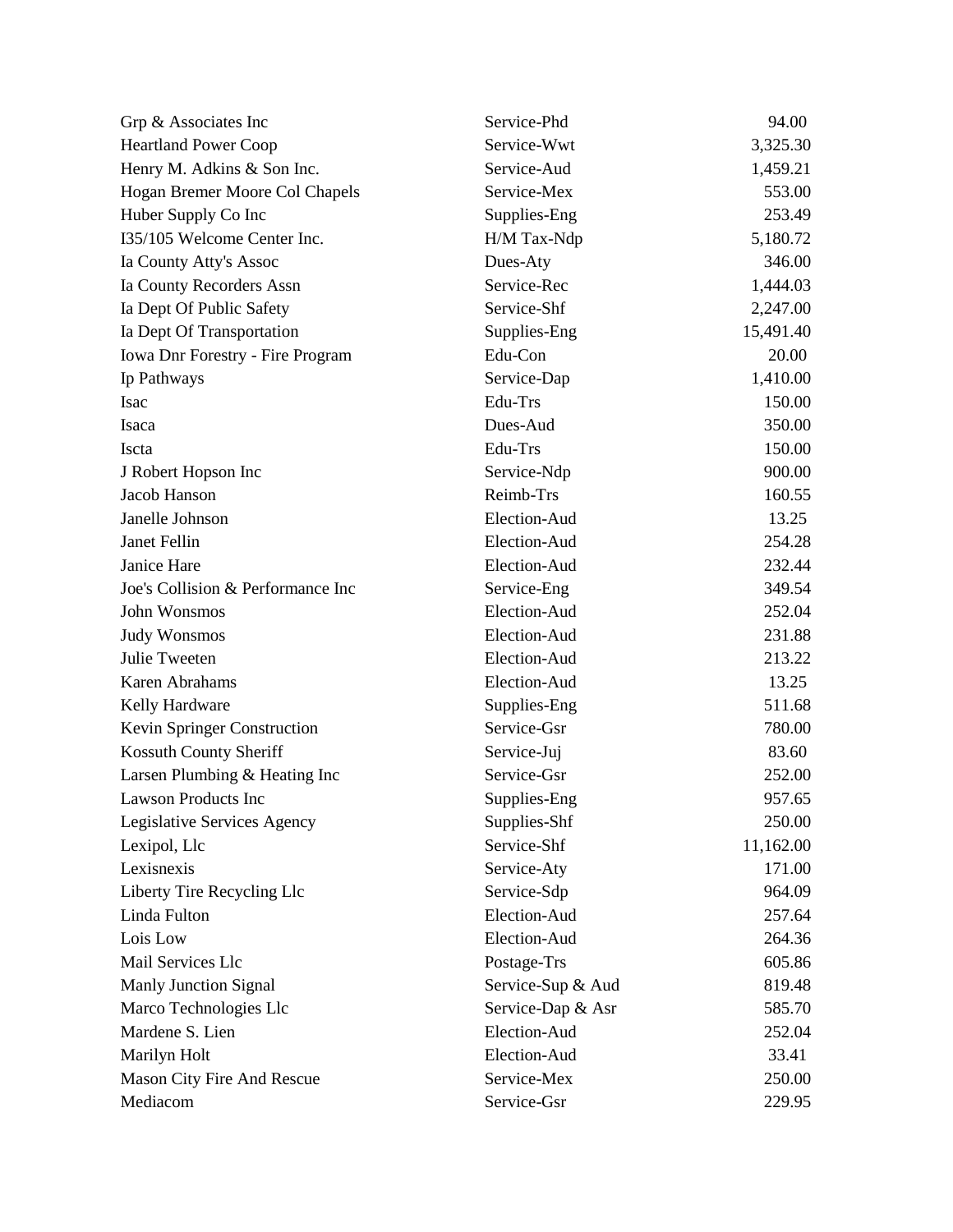| Grp & Associates Inc              | Service-Phd       | 94.00     |
|-----------------------------------|-------------------|-----------|
| <b>Heartland Power Coop</b>       | Service-Wwt       | 3,325.30  |
| Henry M. Adkins & Son Inc.        | Service-Aud       | 1,459.21  |
| Hogan Bremer Moore Col Chapels    | Service-Mex       | 553.00    |
| Huber Supply Co Inc               | Supplies-Eng      | 253.49    |
| I35/105 Welcome Center Inc.       | H/M Tax-Ndp       | 5,180.72  |
| Ia County Atty's Assoc            | Dues-Aty          | 346.00    |
| Ia County Recorders Assn          | Service-Rec       | 1,444.03  |
| Ia Dept Of Public Safety          | Service-Shf       | 2,247.00  |
| Ia Dept Of Transportation         | Supplies-Eng      | 15,491.40 |
| Iowa Dnr Forestry - Fire Program  | Edu-Con           | 20.00     |
| Ip Pathways                       | Service-Dap       | 1,410.00  |
| <b>Isac</b>                       | Edu-Trs           | 150.00    |
| Isaca                             | Dues-Aud          | 350.00    |
| Iscta                             | Edu-Trs           | 150.00    |
| J Robert Hopson Inc               | Service-Ndp       | 900.00    |
| Jacob Hanson                      | Reimb-Trs         | 160.55    |
| Janelle Johnson                   | Election-Aud      | 13.25     |
| Janet Fellin                      | Election-Aud      | 254.28    |
| Janice Hare                       | Election-Aud      | 232.44    |
| Joe's Collision & Performance Inc | Service-Eng       | 349.54    |
| John Wonsmos                      | Election-Aud      | 252.04    |
| <b>Judy Wonsmos</b>               | Election-Aud      | 231.88    |
| Julie Tweeten                     | Election-Aud      | 213.22    |
| Karen Abrahams                    | Election-Aud      | 13.25     |
| Kelly Hardware                    | Supplies-Eng      | 511.68    |
| Kevin Springer Construction       | Service-Gsr       | 780.00    |
| Kossuth County Sheriff            | Service-Juj       | 83.60     |
| Larsen Plumbing & Heating Inc     | Service-Gsr       | 252.00    |
| <b>Lawson Products Inc</b>        | Supplies-Eng      | 957.65    |
| Legislative Services Agency       | Supplies-Shf      | 250.00    |
| Lexipol, Llc                      | Service-Shf       | 11,162.00 |
| Lexisnexis                        | Service-Aty       | 171.00    |
| Liberty Tire Recycling Llc        | Service-Sdp       | 964.09    |
| Linda Fulton                      | Election-Aud      | 257.64    |
| Lois Low                          | Election-Aud      | 264.36    |
| Mail Services Llc                 | Postage-Trs       | 605.86    |
| <b>Manly Junction Signal</b>      | Service-Sup & Aud | 819.48    |
| Marco Technologies Llc            | Service-Dap & Asr | 585.70    |
| Mardene S. Lien                   | Election-Aud      | 252.04    |
| Marilyn Holt                      | Election-Aud      | 33.41     |
| Mason City Fire And Rescue        | Service-Mex       | 250.00    |
| Mediacom                          | Service-Gsr       | 229.95    |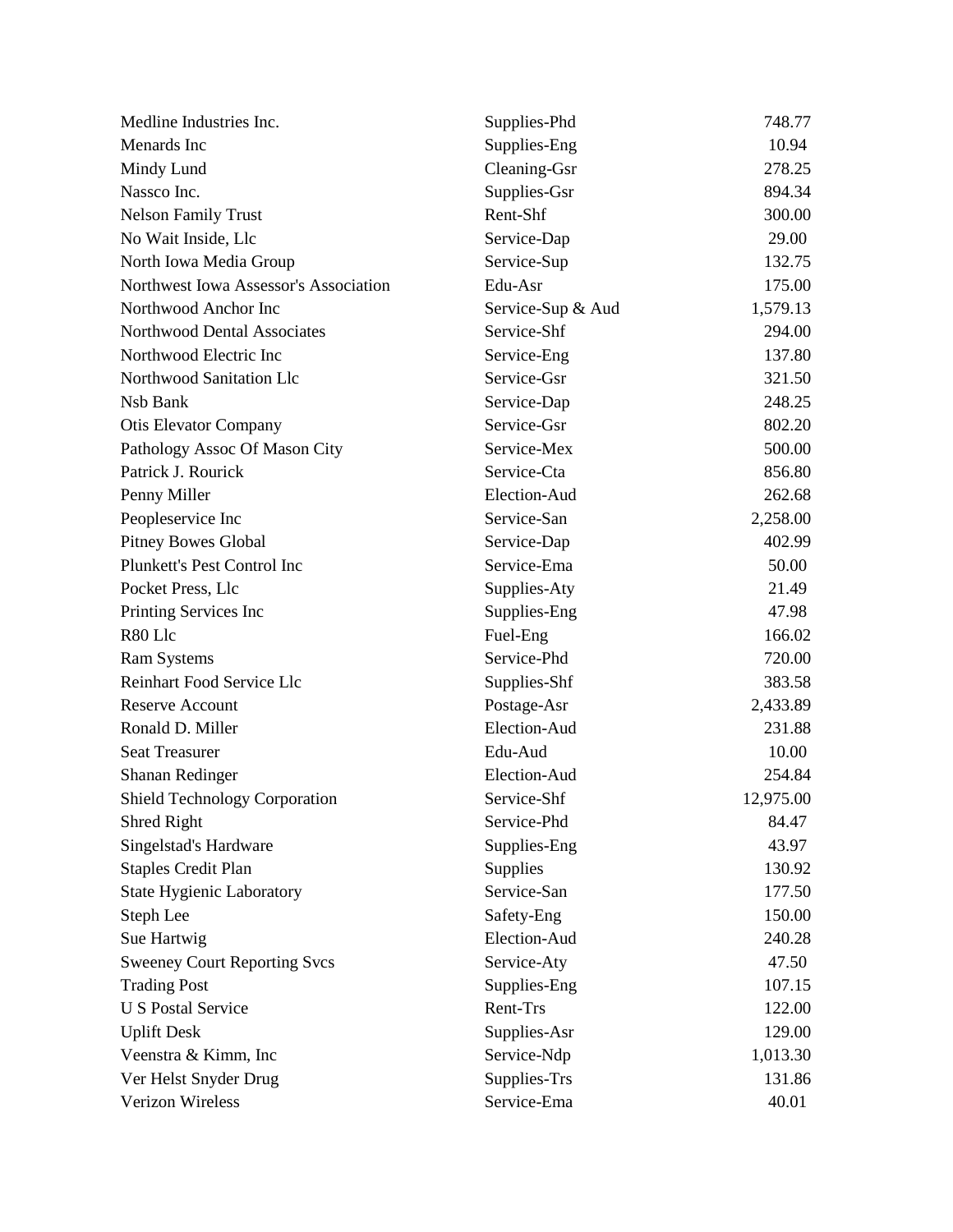| Medline Industries Inc.               | Supplies-Phd      | 748.77    |
|---------------------------------------|-------------------|-----------|
| Menards Inc                           | Supplies-Eng      | 10.94     |
| Mindy Lund                            | Cleaning-Gsr      | 278.25    |
| Nassco Inc.                           | Supplies-Gsr      | 894.34    |
| <b>Nelson Family Trust</b>            | Rent-Shf          | 300.00    |
| No Wait Inside, Llc                   | Service-Dap       | 29.00     |
| North Iowa Media Group                | Service-Sup       | 132.75    |
| Northwest Iowa Assessor's Association | Edu-Asr           | 175.00    |
| Northwood Anchor Inc                  | Service-Sup & Aud | 1,579.13  |
| Northwood Dental Associates           | Service-Shf       | 294.00    |
| Northwood Electric Inc                | Service-Eng       | 137.80    |
| Northwood Sanitation Llc              | Service-Gsr       | 321.50    |
| Nsb Bank                              | Service-Dap       | 248.25    |
| <b>Otis Elevator Company</b>          | Service-Gsr       | 802.20    |
| Pathology Assoc Of Mason City         | Service-Mex       | 500.00    |
| Patrick J. Rourick                    | Service-Cta       | 856.80    |
| Penny Miller                          | Election-Aud      | 262.68    |
| Peopleservice Inc                     | Service-San       | 2,258.00  |
| <b>Pitney Bowes Global</b>            | Service-Dap       | 402.99    |
| Plunkett's Pest Control Inc           | Service-Ema       | 50.00     |
| Pocket Press, Llc                     | Supplies-Aty      | 21.49     |
| Printing Services Inc                 | Supplies-Eng      | 47.98     |
| R80 Llc                               | Fuel-Eng          | 166.02    |
| <b>Ram Systems</b>                    | Service-Phd       | 720.00    |
| Reinhart Food Service Llc             | Supplies-Shf      | 383.58    |
| <b>Reserve Account</b>                | Postage-Asr       | 2,433.89  |
| Ronald D. Miller                      | Election-Aud      | 231.88    |
| <b>Seat Treasurer</b>                 | Edu-Aud           | 10.00     |
| Shanan Redinger                       | Election-Aud      | 254.84    |
| <b>Shield Technology Corporation</b>  | Service-Shf       | 12,975.00 |
| <b>Shred Right</b>                    | Service-Phd       | 84.47     |
| Singelstad's Hardware                 | Supplies-Eng      | 43.97     |
| <b>Staples Credit Plan</b>            | Supplies          | 130.92    |
| <b>State Hygienic Laboratory</b>      | Service-San       | 177.50    |
| Steph Lee                             | Safety-Eng        | 150.00    |
| Sue Hartwig                           | Election-Aud      | 240.28    |
| <b>Sweeney Court Reporting Svcs</b>   | Service-Aty       | 47.50     |
| <b>Trading Post</b>                   | Supplies-Eng      | 107.15    |
| <b>U S Postal Service</b>             | Rent-Trs          | 122.00    |
| <b>Uplift Desk</b>                    | Supplies-Asr      | 129.00    |
| Veenstra & Kimm, Inc.                 | Service-Ndp       | 1,013.30  |
| Ver Helst Snyder Drug                 | Supplies-Trs      | 131.86    |
| Verizon Wireless                      | Service-Ema       | 40.01     |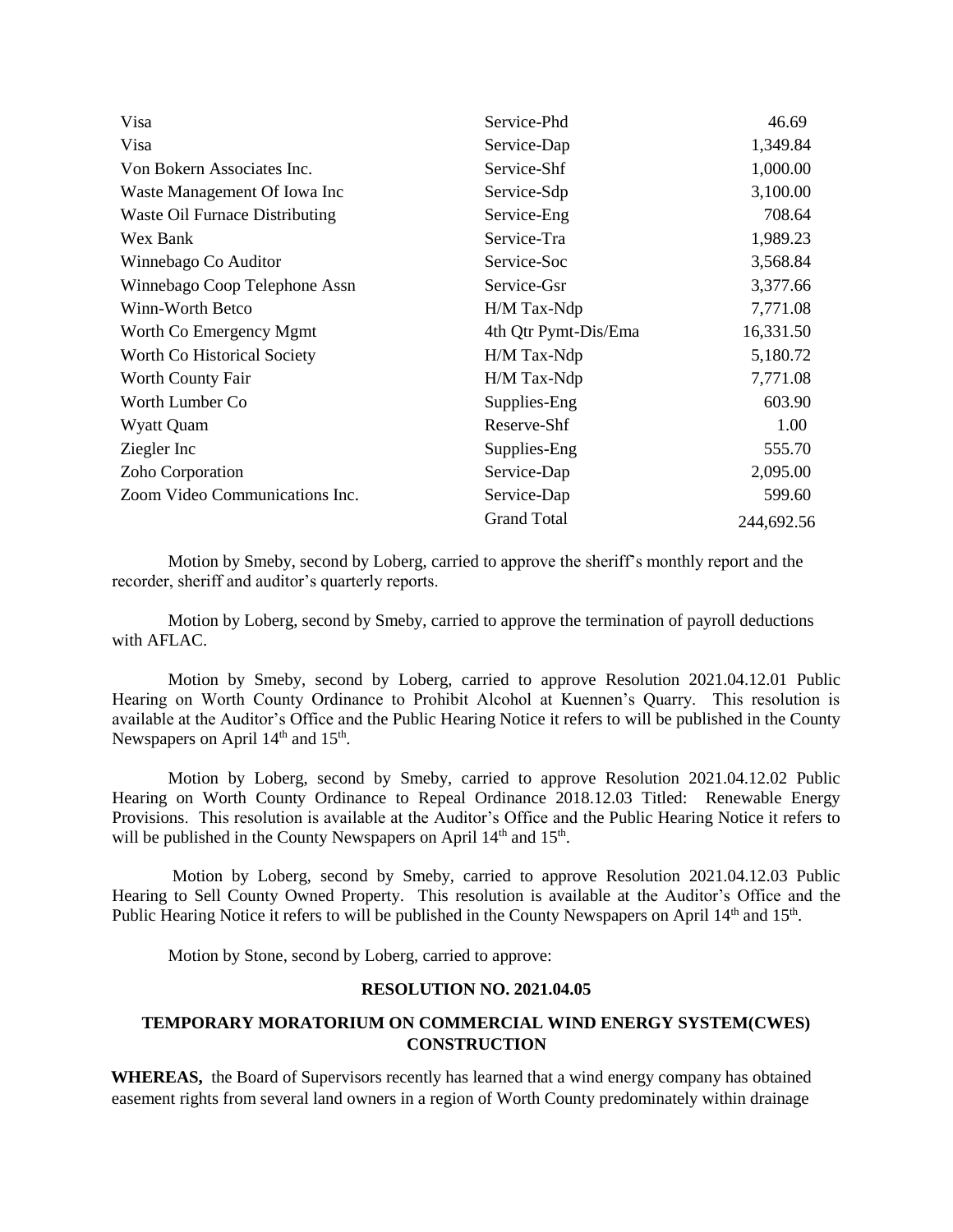| Visa                                  | Service-Phd          | 46.69      |
|---------------------------------------|----------------------|------------|
| Visa                                  | Service-Dap          | 1,349.84   |
| Von Bokern Associates Inc.            | Service-Shf          | 1,000.00   |
| Waste Management Of Iowa Inc          | Service-Sdp          | 3,100.00   |
| <b>Waste Oil Furnace Distributing</b> | Service-Eng          | 708.64     |
| Wex Bank                              | Service-Tra          | 1,989.23   |
| Winnebago Co Auditor                  | Service-Soc          | 3,568.84   |
| Winnebago Coop Telephone Assn         | Service-Gsr          | 3,377.66   |
| Winn-Worth Betco                      | H/M Tax-Ndp          | 7,771.08   |
| Worth Co Emergency Mgmt               | 4th Qtr Pymt-Dis/Ema | 16,331.50  |
| Worth Co Historical Society           | H/M Tax-Ndp          | 5,180.72   |
| Worth County Fair                     | H/M Tax-Ndp          | 7,771.08   |
| Worth Lumber Co.                      | Supplies-Eng         | 603.90     |
| Wyatt Quam                            | Reserve-Shf          | 1.00       |
| Ziegler Inc                           | Supplies-Eng         | 555.70     |
| Zoho Corporation                      | Service-Dap          | 2,095.00   |
| Zoom Video Communications Inc.        | Service-Dap          | 599.60     |
|                                       | <b>Grand Total</b>   | 244,692.56 |

Motion by Smeby, second by Loberg, carried to approve the sheriff's monthly report and the recorder, sheriff and auditor's quarterly reports.

Motion by Loberg, second by Smeby, carried to approve the termination of payroll deductions with AFLAC.

Motion by Smeby, second by Loberg, carried to approve Resolution 2021.04.12.01 Public Hearing on Worth County Ordinance to Prohibit Alcohol at Kuennen's Quarry. This resolution is available at the Auditor's Office and the Public Hearing Notice it refers to will be published in the County Newspapers on April  $14<sup>th</sup>$  and  $15<sup>th</sup>$ .

Motion by Loberg, second by Smeby, carried to approve Resolution 2021.04.12.02 Public Hearing on Worth County Ordinance to Repeal Ordinance 2018.12.03 Titled: Renewable Energy Provisions. This resolution is available at the Auditor's Office and the Public Hearing Notice it refers to will be published in the County Newspapers on April  $14<sup>th</sup>$  and  $15<sup>th</sup>$ .

Motion by Loberg, second by Smeby, carried to approve Resolution 2021.04.12.03 Public Hearing to Sell County Owned Property. This resolution is available at the Auditor's Office and the Public Hearing Notice it refers to will be published in the County Newspapers on April 14<sup>th</sup> and 15<sup>th</sup>.

Motion by Stone, second by Loberg, carried to approve:

## **RESOLUTION NO. 2021.04.05**

## **TEMPORARY MORATORIUM ON COMMERCIAL WIND ENERGY SYSTEM(CWES) CONSTRUCTION**

**WHEREAS,** the Board of Supervisors recently has learned that a wind energy company has obtained easement rights from several land owners in a region of Worth County predominately within drainage